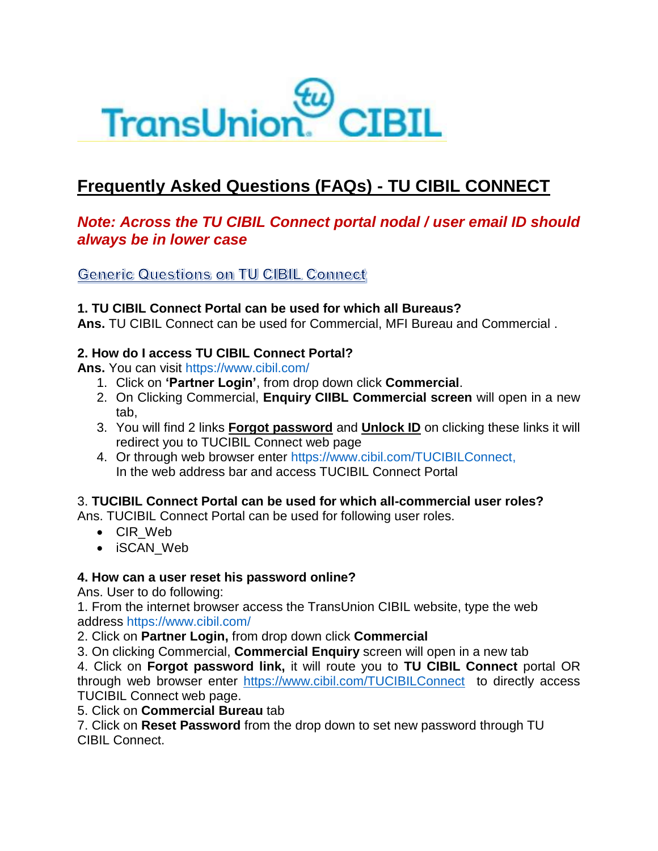

# **Frequently Asked Questions (FAQs) - TU CIBIL CONNECT**

## *Note: Across the TU CIBIL Connect portal nodal / user email ID should always be in lower case*

**Generic Questions on TU CIBIL Connect** 

## **1. TU CIBIL Connect Portal can be used for which all Bureaus?**

**Ans.** TU CIBIL Connect can be used for Commercial, MFI Bureau and Commercial .

## **2. How do I access TU CIBIL Connect Portal?**

**Ans.** You can visit https://www.cibil.com/

- 1. Click on **'Partner Login'**, from drop down click **Commercial**.
- 2. On Clicking Commercial, **Enquiry CIIBL Commercial screen** will open in a new tab,
- 3. You will find 2 links **Forgot password** and **Unlock ID** on clicking these links it will redirect you to TUCIBIL Connect web page
- 4. Or through web browser enter https://www.cibil.com/TUCIBILConnect, In the web address bar and access TUCIBIL Connect Portal

## 3. **TUCIBIL Connect Portal can be used for which all-commercial user roles?**

Ans. TUCIBIL Connect Portal can be used for following user roles.

- CIR\_Web
- iSCAN\_Web

#### **4. How can a user reset his password online?**

Ans. User to do following:

1. From the internet browser access the TransUnion CIBIL website, type the web address https://www.cibil.com/

2. Click on **Partner Login,** from drop down click **Commercial**

3. On clicking Commercial, **Commercial Enquiry** screen will open in a new tab

4. Click on **Forgot password link,** it will route you to **TU CIBIL Connect** portal OR through web browser enter <https://www.cibil.com/TUCIBILConnect> to directly access TUCIBIL Connect web page.

5. Click on **Commercial Bureau** tab

7. Click on **Reset Password** from the drop down to set new password through TU CIBIL Connect.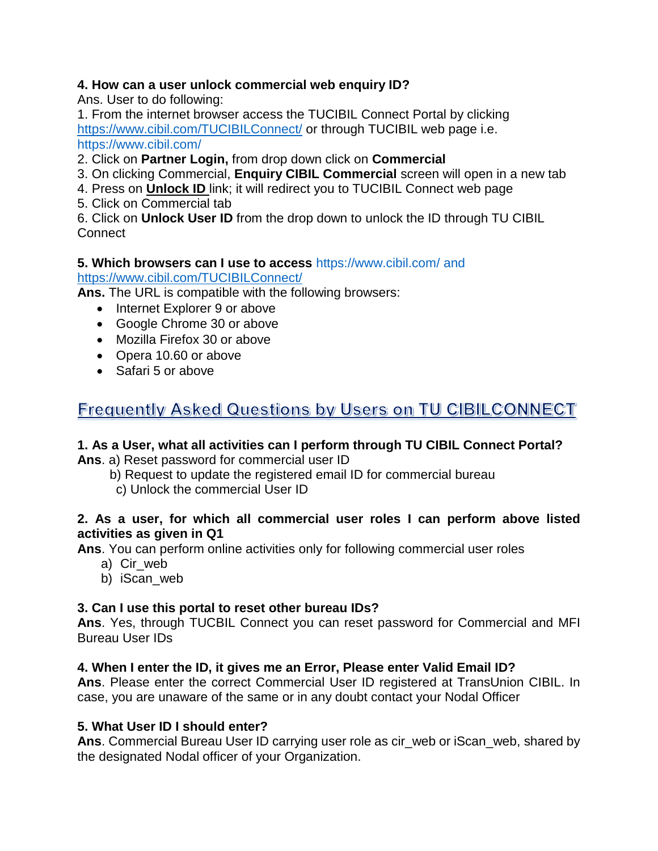## **4. How can a user unlock commercial web enquiry ID?**

Ans. User to do following:

1. From the internet browser access the TUCIBIL Connect Portal by clicking <https://www.cibil.com/TUCIBILConnect/> or through TUCIBIL web page i.e. https://www.cibil.com/

2. Click on **Partner Login,** from drop down click on **Commercial**

3. On clicking Commercial, **Enquiry CIBIL Commercial** screen will open in a new tab

- 4. Press on **Unlock ID** link; it will redirect you to TUCIBIL Connect web page
- 5. Click on Commercial tab

6. Click on **Unlock User ID** from the drop down to unlock the ID through TU CIBIL **Connect** 

## **5. Which browsers can I use to access** https://www.cibil.com/ and

#### <https://www.cibil.com/TUCIBILConnect/>

**Ans.** The URL is compatible with the following browsers:

- Internet Explorer 9 or above
- Google Chrome 30 or above
- Mozilla Firefox 30 or above
- Opera 10.60 or above
- Safari 5 or above

## Frequently Asked Questions by Users on TU CIBILCONNECT

## **1. As a User, what all activities can I perform through TU CIBIL Connect Portal?**

**Ans**. a) Reset password for commercial user ID

- b) Request to update the registered email ID for commercial bureau
	- c) Unlock the commercial User ID

## **2. As a user, for which all commercial user roles I can perform above listed activities as given in Q1**

**Ans**. You can perform online activities only for following commercial user roles

- a) Cir\_web
- b) iScan\_web

## **3. Can I use this portal to reset other bureau IDs?**

**Ans**. Yes, through TUCBIL Connect you can reset password for Commercial and MFI Bureau User IDs

## **4. When I enter the ID, it gives me an Error, Please enter Valid Email ID?**

**Ans**. Please enter the correct Commercial User ID registered at TransUnion CIBIL. In case, you are unaware of the same or in any doubt contact your Nodal Officer

## **5. What User ID I should enter?**

**Ans**. Commercial Bureau User ID carrying user role as cir\_web or iScan\_web, shared by the designated Nodal officer of your Organization.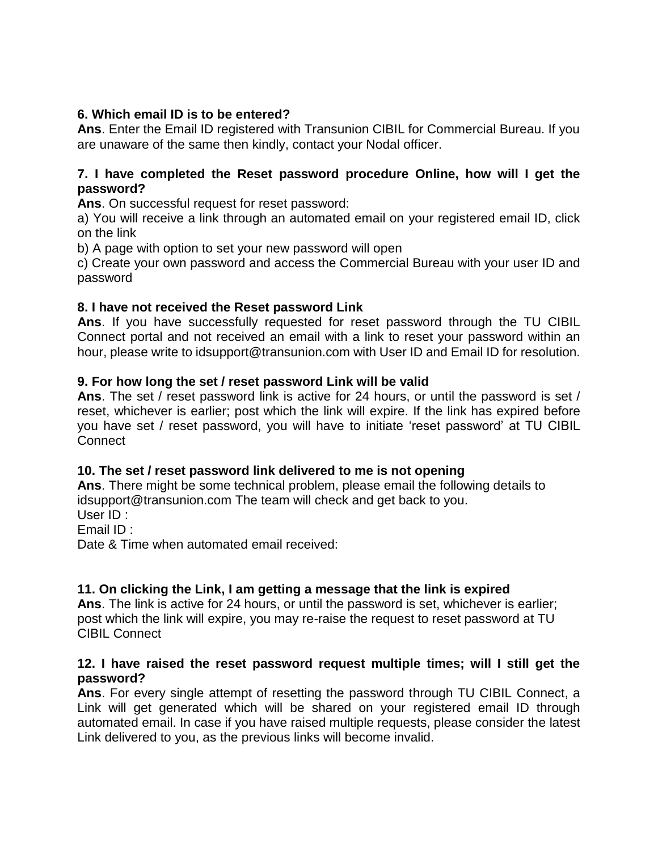## **6. Which email ID is to be entered?**

**Ans**. Enter the Email ID registered with Transunion CIBIL for Commercial Bureau. If you are unaware of the same then kindly, contact your Nodal officer.

## **7. I have completed the Reset password procedure Online, how will I get the password?**

**Ans**. On successful request for reset password:

a) You will receive a link through an automated email on your registered email ID, click on the link

b) A page with option to set your new password will open

c) Create your own password and access the Commercial Bureau with your user ID and password

## **8. I have not received the Reset password Link**

**Ans**. If you have successfully requested for reset password through the TU CIBIL Connect portal and not received an email with a link to reset your password within an hour, please write to idsupport@transunion.com with User ID and Email ID for resolution.

## **9. For how long the set / reset password Link will be valid**

**Ans**. The set / reset password link is active for 24 hours, or until the password is set / reset, whichever is earlier; post which the link will expire. If the link has expired before you have set / reset password, you will have to initiate 'reset password' at TU CIBIL **Connect** 

#### **10. The set / reset password link delivered to me is not opening**

**Ans**. There might be some technical problem, please email the following details to idsupport@transunion.com The team will check and get back to you. User ID :

Email ID :

Date & Time when automated email received:

#### **11. On clicking the Link, I am getting a message that the link is expired**

**Ans**. The link is active for 24 hours, or until the password is set, whichever is earlier; post which the link will expire, you may re-raise the request to reset password at TU CIBIL Connect

#### **12. I have raised the reset password request multiple times; will I still get the password?**

**Ans**. For every single attempt of resetting the password through TU CIBIL Connect, a Link will get generated which will be shared on your registered email ID through automated email. In case if you have raised multiple requests, please consider the latest Link delivered to you, as the previous links will become invalid.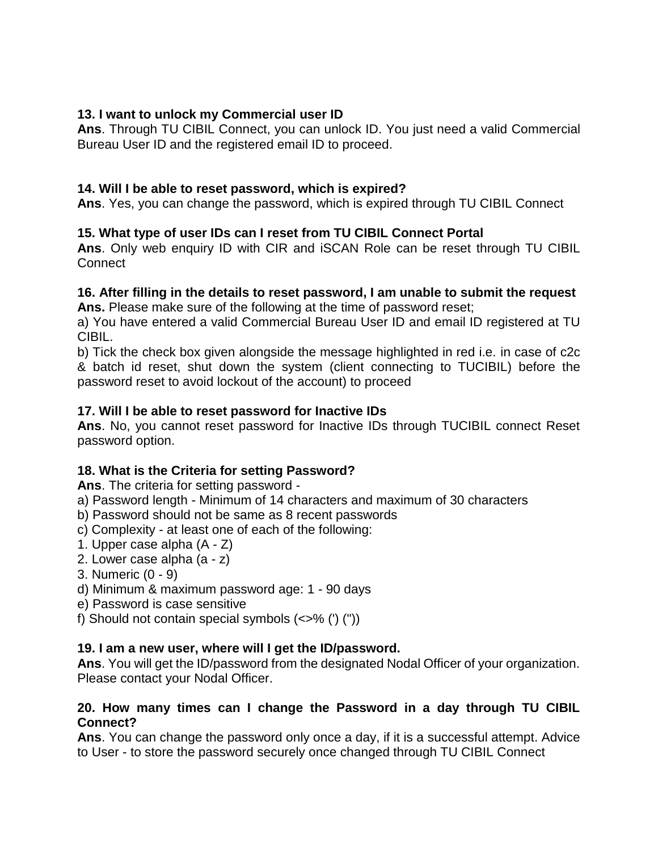## **13. I want to unlock my Commercial user ID**

**Ans**. Through TU CIBIL Connect, you can unlock ID. You just need a valid Commercial Bureau User ID and the registered email ID to proceed.

## **14. Will I be able to reset password, which is expired?**

**Ans**. Yes, you can change the password, which is expired through TU CIBIL Connect

## **15. What type of user IDs can I reset from TU CIBIL Connect Portal**

**Ans**. Only web enquiry ID with CIR and iSCAN Role can be reset through TU CIBIL **Connect** 

## **16. After filling in the details to reset password, I am unable to submit the request**

**Ans.** Please make sure of the following at the time of password reset;

a) You have entered a valid Commercial Bureau User ID and email ID registered at TU CIBIL.

b) Tick the check box given alongside the message highlighted in red i.e. in case of c2c & batch id reset, shut down the system (client connecting to TUCIBIL) before the password reset to avoid lockout of the account) to proceed

## **17. Will I be able to reset password for Inactive IDs**

**Ans**. No, you cannot reset password for Inactive IDs through TUCIBIL connect Reset password option.

## **18. What is the Criteria for setting Password?**

**Ans**. The criteria for setting password -

a) Password length - Minimum of 14 characters and maximum of 30 characters

b) Password should not be same as 8 recent passwords

c) Complexity - at least one of each of the following:

- 1. Upper case alpha (A Z)
- 2. Lower case alpha (a z)
- 3. Numeric (0 9)
- d) Minimum & maximum password age: 1 90 days
- e) Password is case sensitive
- f) Should not contain special symbols  $(\langle \rangle^8)$  ("))

## **19. I am a new user, where will I get the ID/password.**

**Ans**. You will get the ID/password from the designated Nodal Officer of your organization. Please contact your Nodal Officer.

#### **20. How many times can I change the Password in a day through TU CIBIL Connect?**

**Ans**. You can change the password only once a day, if it is a successful attempt. Advice to User - to store the password securely once changed through TU CIBIL Connect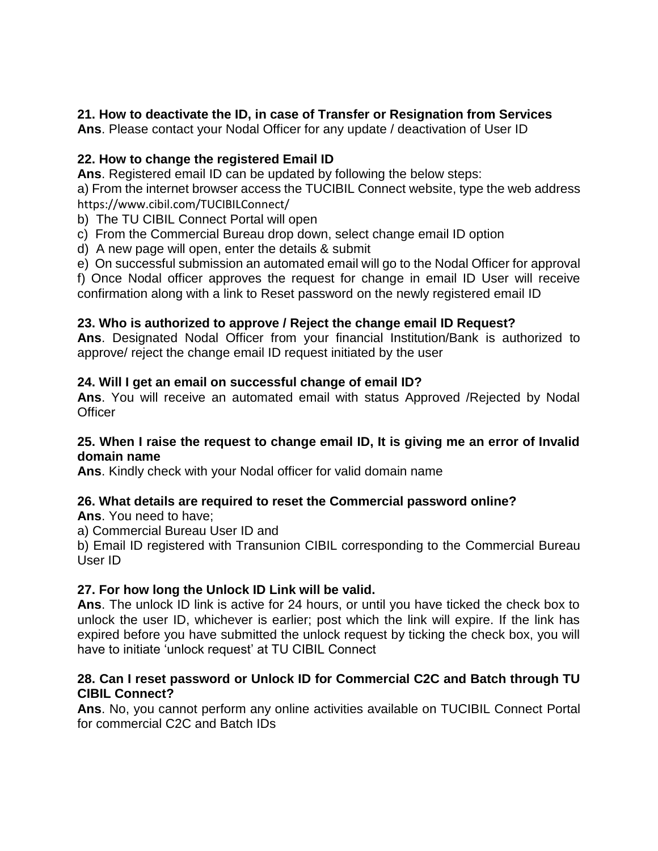## **21. How to deactivate the ID, in case of Transfer or Resignation from Services**

**Ans**. Please contact your Nodal Officer for any update / deactivation of User ID

## **22. How to change the registered Email ID**

**Ans**. Registered email ID can be updated by following the below steps:

a) From the internet browser access the TUCIBIL Connect website, type the web address <https://www.cibil.com/TUCIBILConnect/>

b) The TU CIBIL Connect Portal will open

c) From the Commercial Bureau drop down, select change email ID option

d) A new page will open, enter the details & submit

e) On successful submission an automated email will go to the Nodal Officer for approval

f) Once Nodal officer approves the request for change in email ID User will receive confirmation along with a link to Reset password on the newly registered email ID

## **23. Who is authorized to approve / Reject the change email ID Request?**

**Ans**. Designated Nodal Officer from your financial Institution/Bank is authorized to approve/ reject the change email ID request initiated by the user

## **24. Will I get an email on successful change of email ID?**

**Ans**. You will receive an automated email with status Approved /Rejected by Nodal **Officer** 

#### **25. When I raise the request to change email ID, It is giving me an error of Invalid domain name**

**Ans**. Kindly check with your Nodal officer for valid domain name

#### **26. What details are required to reset the Commercial password online?**

**Ans**. You need to have;

a) Commercial Bureau User ID and

b) Email ID registered with Transunion CIBIL corresponding to the Commercial Bureau User ID

#### **27. For how long the Unlock ID Link will be valid.**

**Ans**. The unlock ID link is active for 24 hours, or until you have ticked the check box to unlock the user ID, whichever is earlier; post which the link will expire. If the link has expired before you have submitted the unlock request by ticking the check box, you will have to initiate 'unlock request' at TU CIBIL Connect

## **28. Can I reset password or Unlock ID for Commercial C2C and Batch through TU CIBIL Connect?**

**Ans**. No, you cannot perform any online activities available on TUCIBIL Connect Portal for commercial C2C and Batch IDs